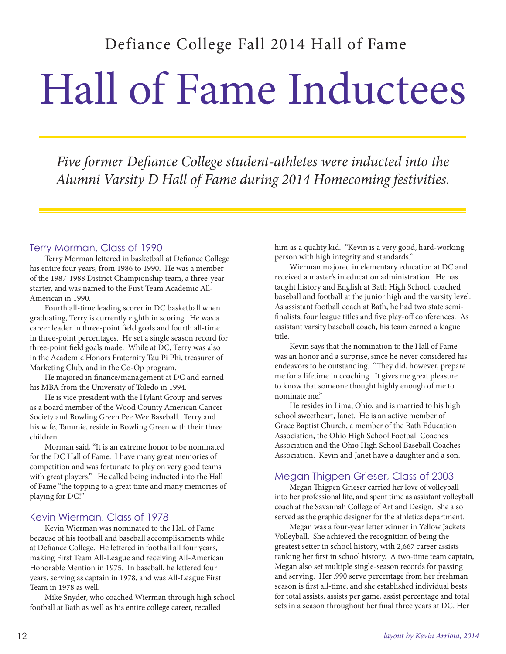### Defiance College Fall 2014 Hall of Fame

# Hall of Fame Inductees

Five former Defiance College student-athletes were inducted into the Alumni Varsity D Hall of Fame during 2014 Homecoming festivities.

#### Terry Morman, Class of 1990

Terry Morman lettered in basketball at Defiance College his entire four years, from 1986 to 1990. He was a member of the 1987-1988 District Championship team, a three-year starter, and was named to the First Team Academic All-American in 1990.

Fourth all-time leading scorer in DC basketball when graduating, Terry is currently eighth in scoring. He was a career leader in three-point field goals and fourth all-time in three-point percentages. He set a single season record for three-point field goals made. While at DC, Terry was also in the Academic Honors Fraternity Tau Pi Phi, treasurer of Marketing Club, and in the Co-Op program.

He majored in finance/management at DC and earned his MBA from the University of Toledo in 1994.

He is vice president with the Hylant Group and serves as a board member of the Wood County American Cancer Society and Bowling Green Pee Wee Baseball. Terry and his wife, Tammie, reside in Bowling Green with their three children.

Morman said, "It is an extreme honor to be nominated for the DC Hall of Fame. I have many great memories of competition and was fortunate to play on very good teams with great players." He called being inducted into the Hall of Fame "the topping to a great time and many memories of playing for DC!"

#### Kevin Wierman, Class of 1978

Kevin Wierman was nominated to the Hall of Fame because of his football and baseball accomplishments while at Defiance College. He lettered in football all four years, making First Team All-League and receiving All-American Honorable Mention in 1975. In baseball, he lettered four years, serving as captain in 1978, and was All-League First Team in 1978 as well.

Mike Snyder, who coached Wierman through high school football at Bath as well as his entire college career, recalled

him as a quality kid. "Kevin is a very good, hard-working person with high integrity and standards."

Wierman majored in elementary education at DC and received a master's in education administration. He has taught history and English at Bath High School, coached baseball and football at the junior high and the varsity level. As assistant football coach at Bath, he had two state semifinalists, four league titles and five play-off conferences. As assistant varsity baseball coach, his team earned a league title.

Kevin says that the nomination to the Hall of Fame was an honor and a surprise, since he never considered his endeavors to be outstanding. "They did, however, prepare me for a lifetime in coaching. It gives me great pleasure to know that someone thought highly enough of me to nominate me."

He resides in Lima, Ohio, and is married to his high school sweetheart, Janet. He is an active member of Grace Baptist Church, a member of the Bath Education Association, the Ohio High School Football Coaches Association and the Ohio High School Baseball Coaches Association. Kevin and Janet have a daughter and a son.

#### Megan Thigpen Grieser, Class of 2003

Megan Thigpen Grieser carried her love of volleyball into her professional life, and spent time as assistant volleyball coach at the Savannah College of Art and Design. She also served as the graphic designer for the athletics department.

Megan was a four-year letter winner in Yellow Jackets Volleyball. She achieved the recognition of being the greatest setter in school history, with 2,667 career assists ranking her first in school history. A two-time team captain, Megan also set multiple single-season records for passing and serving. Her .990 serve percentage from her freshman season is first all-time, and she established individual bests for total assists, assists per game, assist percentage and total sets in a season throughout her final three years at DC. Her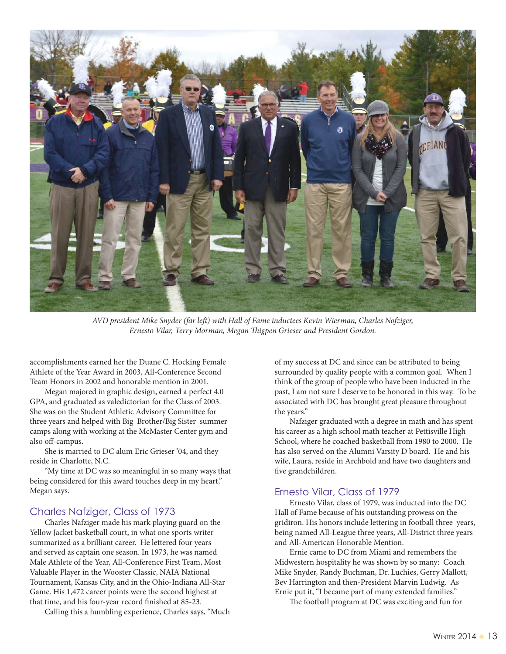

AVD president Mike Snyder (far left) with Hall of Fame inductees Kevin Wierman, Charles Nofziger, Ernesto Vilar, Terry Morman, Megan Thigpen Grieser and President Gordon.

accomplishments earned her the Duane C. Hocking Female Athlete of the Year Award in 2003, All-Conference Second Team Honors in 2002 and honorable mention in 2001.

Megan majored in graphic design, earned a perfect 4.0 GPA, and graduated as valedictorian for the Class of 2003. She was on the Student Athletic Advisory Committee for three years and helped with Big Brother/Big Sister summer camps along with working at the McMaster Center gym and also off-campus.

She is married to DC alum Eric Grieser '04, and they reside in Charlotte, N.C.

"My time at DC was so meaningful in so many ways that being considered for this award touches deep in my heart," Megan says.

#### Charles Nafziger, Class of 1973

Charles Nafziger made his mark playing guard on the Yellow Jacket basketball court, in what one sports writer summarized as a brilliant career. He lettered four years and served as captain one season. In 1973, he was named Male Athlete of the Year, All-Conference First Team, Most Valuable Player in the Wooster Classic, NAIA National Tournament, Kansas City, and in the Ohio-Indiana All-Star Game. His 1,472 career points were the second highest at that time, and his four-year record finished at 85-23.

Calling this a humbling experience, Charles says, "Much

of my success at DC and since can be attributed to being surrounded by quality people with a common goal. When I think of the group of people who have been inducted in the past, I am not sure I deserve to be honored in this way. To be associated with DC has brought great pleasure throughout the years."

Nafziger graduated with a degree in math and has spent his career as a high school math teacher at Pettisville High School, where he coached basketball from 1980 to 2000. He has also served on the Alumni Varsity D board. He and his wife, Laura, reside in Archbold and have two daughters and five grandchildren.

#### Ernesto Vilar, Class of 1979

Ernesto Vilar, class of 1979, was inducted into the DC Hall of Fame because of his outstanding prowess on the gridiron. His honors include lettering in football three years, being named All-League three years, All-District three years and All-American Honorable Mention.

Ernie came to DC from Miami and remembers the Midwestern hospitality he was shown by so many: Coach Mike Snyder, Randy Buchman, Dr. Luchies, Gerry Mallott, Bev Harrington and then-President Marvin Ludwig. As Ernie put it, "I became part of many extended families."

The football program at DC was exciting and fun for